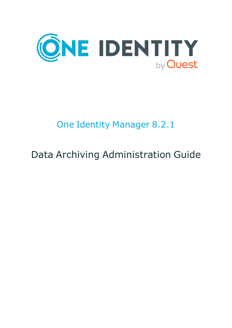

# One Identity Manager 8.2.1

# Data Archiving Administration Guide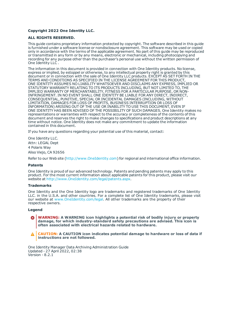#### **Copyright 2022 One Identity LLC.**

#### **ALL RIGHTS RESERVED.**

This guide contains proprietary information protected by copyright. The software described in this guide is furnished under a software license or nondisclosure agreement. This software may be used or copied only in accordance with the terms of the applicable agreement. No part of this guide may be reproduced or transmitted in any form or by any means, electronic or mechanical, including photocopying and recording for any purpose other than the purchaser's personal use without the written permission of One Identity LLC .

The information in this document is provided in connection with One Identity products. No license, express or implied, by estoppel or otherwise, to any intellectual property right is granted by this document or in connection with the sale of One Identity LLC products. EXCEPT AS SET FORTH IN THE TERMS AND CONDITIONS AS SPECIFIED IN THE LICENSE AGREEMENT FOR THIS PRODUCT, ONE IDENTITY ASSUMES NO LIABILITY WHATSOEVER AND DISCLAIMS ANY EXPRESS, IMPLIED OR STATUTORY WARRANTY RELATING TO ITS PRODUCTS INCLUDING, BUT NOT LIMITED TO, THE IMPLIED WARRANTY OF MERCHANTABILITY, FITNESS FOR A PARTICULAR PURPOSE, OR NON-INFRINGEMENT. IN NO EVENT SHALL ONE IDENTITY BE LIABLE FOR ANY DIRECT, INDIRECT, CONSEQUENTIAL, PUNITIVE, SPECIAL OR INCIDENTAL DAMAGES (INCLUDING, WITHOUT LIMITATION, DAMAGES FOR LOSS OF PROFITS, BUSINESS INTERRUPTION OR LOSS OF INFORMATION) ARISING OUT OF THE USE OR INABILITY TO USE THIS DOCUMENT, EVEN IF ONE IDENTITY HAS BEEN ADVISED OF THE POSSIBILITY OF SUCH DAMAGES. One Identity makes no representations or warranties with respect to the accuracy or completeness of the contents of this document and reserves the right to make changes to specifications and product descriptions at any time without notice. One Identity does not make any commitment to update the information contained in this document.

If you have any questions regarding your potential use of this material, contact:

One Identity LLC. Attn: LEGAL Dept 4 Polaris Way Aliso Viejo, CA 92656

Refer to our Web site ([http://www.OneIdentity.com](http://www.oneidentity.com/)) for regional and international office information.

#### **Patents**

One Identity is proud of our advanced technology. Patents and pending patents may apply to this product. For the most current information about applicable patents for this product, please visit our website at [http://www.OneIdentity.com/legal/patents.aspx](http://www.oneidentity.com/legal/patents.aspx).

#### **Trademarks**

One Identity and the One Identity logo are trademarks and registered trademarks of One Identity LLC. in the U.S.A. and other countries. For a complete list of One Identity trademarks, please visit our website at [www.OneIdentity.com/legal](http://www.oneidentity.com/legal). All other trademarks are the property of their respective owners.

#### **Legend**

**WARNING: A WARNING icon highlights a potential risk of bodily injury or property damage, for which industry-standard safety precautions are advised. This icon is often associated with electrical hazards related to hardware.**

**CAUTION: A CAUTION icon indicates potential damage to hardware or loss of data if** A **instructions are not followed.**

One Identity Manager Data Archiving Administration Guide Updated - 27 April 2022, 02:38 Version - 8.2.1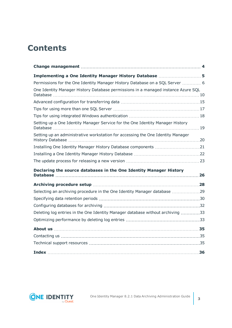## **Contents**

| Implementing a One Identity Manager History Database  5                           |  |
|-----------------------------------------------------------------------------------|--|
| Permissions for the One Identity Manager History Database on a SQL Server  6      |  |
| One Identity Manager History Database permissions in a managed instance Azure SQL |  |
|                                                                                   |  |
|                                                                                   |  |
|                                                                                   |  |
| Setting up a One Identity Manager Service for the One Identity Manager History    |  |
| Setting up an administrative workstation for accessing the One Identity Manager   |  |
|                                                                                   |  |
|                                                                                   |  |
|                                                                                   |  |
| Declaring the source databases in the One Identity Manager History                |  |
|                                                                                   |  |
|                                                                                   |  |
| Selecting an archiving procedure in the One Identity Manager database 29          |  |
|                                                                                   |  |
|                                                                                   |  |
| Deleting log entries in the One Identity Manager database without archiving 33    |  |
|                                                                                   |  |
|                                                                                   |  |
|                                                                                   |  |
|                                                                                   |  |
|                                                                                   |  |

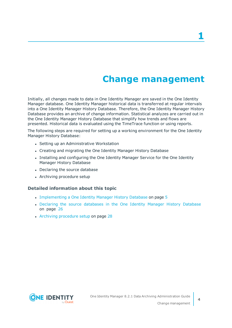### **Change management**

<span id="page-3-0"></span>Initially, all changes made to data in One Identity Manager are saved in the One Identity Manager database. One Identity Manager historical data is transferred at regular intervals into a One Identity Manager History Database. Therefore, the One Identity Manager History Database provides an archive of change information. Statistical analyzes are carried out in the One Identity Manager History Database that simplify how trends and flows are presented. Historical data is evaluated using the TimeTrace function or using reports.

The following steps are required for setting up a working environment for the One Identity Manager History Database:

- Setting up an Administrative Workstation
- Creating and migrating the One Identity Manager History Database
- Installing and configuring the One Identity Manager Service for the One Identity Manager History Database
- Declaring the source database
- Archiving procedure setup

#### **Detailed information about this topic**

- [Implementing](#page-4-0) a One Identity Manager History Database on page 5
- Declaring the source [databases](#page-25-0) in the One Identity Manager History Database on [page](#page-25-0) 26
- Archiving [procedure](#page-27-0) setup on page 28

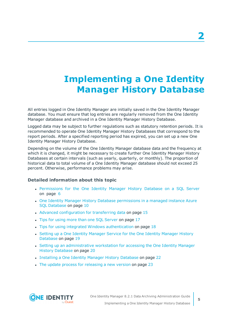## <span id="page-4-0"></span>**Implementing a One Identity Manager History Database**

All entries logged in One Identity Manager are initially saved in the One Identity Manager database. You must ensure that log entries are regularly removed from the One Identity Manager database and archived in a One Identity Manager History Database.

Logged data may be subject to further regulations such as statutory retention periods. It is recommended to operate One Identity Manager History Databases that correspond to the report periods. After a specified reporting period has expired, you can set up a new One Identity Manager History Database.

Depending on the volume of the One Identity Manager database data and the frequency at which it is changed, it might be necessary to create further One Identity Manager History Databases at certain intervals (such as yearly, quarterly, or monthly). The proportion of historical data to total volume of a One Identity Manager database should not exceed 25 percent. Otherwise, performance problems may arise.

### **Detailed information about this topic**

- [Permissions](#page-5-0) for the One Identity Manager History Database on a SQL Server on [page](#page-5-0) 6
- One Identity Manager History Database [permissions](#page-9-0) in a managed instance Azure SQL [Database](#page-9-0) on page 10
- Advanced [configuration](#page-14-0) for transferring data on page 15
- Tips for using more than one SQL [Server](#page-16-0) on page 17
- Tips for using integrated Windows [authentication](#page-17-0) on page 18
- Setting up a One Identity [Manager](#page-18-0) Service for the One Identity Manager History [Database](#page-18-0) on page 19
- Setting up an [administrative](#page-19-0) workstation for accessing the One Identity Manager History [Database](#page-19-0) on page 20
- [Installing](#page-21-0) a One Identity Manager History Database on page 22
- The update process for [releasing](#page-22-0) a new version on page 23

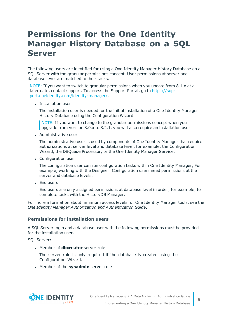### <span id="page-5-0"></span>**Permissions for the One Identity Manager History Database on a SQL Server**

The following users are identified for using a One Identity Manager History Database on a SQL Server with the granular permissions concept. User permissions at server and database level are matched to their tasks.

NOTE: If you want to switch to granular permissions when you update from 8.1.x at a later date, contact support. To access the Support Portal, go to [https://sup](https://support.oneidentity.com/identity-manager/)[port.oneidentity.com/identity-manager/](https://support.oneidentity.com/identity-manager/).

• Installation user

The installation user is needed for the initial installation of a One Identity Manager History Database using the Configuration Wizard.

NOTE: If you want to change to the granular permissions concept when you upgrade from version 8.0.x to 8.2.1, you will also require an installation user.

• Administrative user

The administrative user is used by components of One Identity Manager that require authorizations at server level and database level, for example, the Configuration Wizard, the DBQueue Processor, or the One Identity Manager Service.

• Configuration user

The configuration user can run configuration tasks within One Identity Manager, For example, working with the Designer. Configuration users need permissions at the server and database levels.

**.** End users

End users are only assigned permissions at database level in order, for example, to complete tasks with the HistoryDB Manager.

For more information about minimum access levels for One Identity Manager tools, see the *One Identity Manager Authorization and Authentication Guide*.

### **Permissions for installation users**

A SQL Server login and a database user with the following permissions must be provided for the installation user.

SQL Server:

**Member of dbcreator** server role

The server role is only required if the database is created using the Configuration Wizard.

**.** Member of the **sysadmin** server role

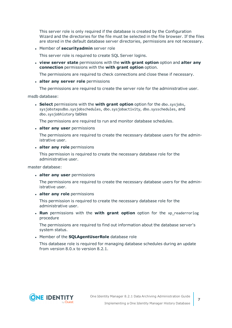This server role is only required if the database is created by the Configuration Wizard and the directories for the file must be selected in the file browser. If the files are stored in the default database server directories, permissions are not necessary.

**.** Member of **securityadmin** server role

This server role is required to create SQL Server logins.

<sup>l</sup> **view server state** permissions with the **with grant option** option and **alter any connection** permissions with the **with grant option** option.

The permissions are required to check connections and close these if necessary.

<sup>l</sup> **alter any server role** permissions

The permissions are required to create the server role for the administrative user.

msdb database:

<sup>l</sup> **Select** permissions with the **with grant option** option for the dbo.sysjobs, sysjobstepsdbo.sysjobschedules, dbo.sysjobactivity, dbo.sysschedules, and dbo.sysjobhistory tables

The permissions are required to run and monitor database schedules.

<sup>l</sup> **alter any user** permissions

The permissions are required to create the necessary database users for the administrative user.

#### <sup>l</sup> **alter any role** permissions

This permission is required to create the necessary database role for the administrative user.

master database:

<sup>l</sup> **alter any user** permissions

The permissions are required to create the necessary database users for the administrative user.

<sup>l</sup> **alter any role** permissions

This permission is required to create the necessary database role for the administrative user.

**. Run** permissions with the **with grant option** option for the xp readerrorlog procedure

The permissions are required to find out information about the database server's system status.

**.** Member of the **SQLAgentUserRole** database role

This database role is required for managing database schedules during an update from version 8.0.x to version 8.2.1.

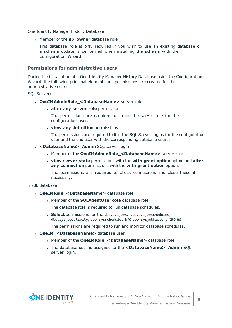One Identity Manager History Database:

**.** Member of the **db\_owner** database role

This database role is only required if you wish to use an existing database or a schema update is performed when installing the schema with the Configuration Wizard.

### **Permissions for administrative users**

During the installation of a One Identity Manager History Database using the Configuration Wizard, the following principal elements and permissions are created for the administrative user:

SQL Server:

- **. OneIMAdminRole <DatabaseName>** server role
	- <sup>l</sup> **alter any server role** permissions

The permissions are required to create the server role for the configuration user.

<sup>l</sup> **view any definition** permissions

The permissions are required to link the SQL Server logins for the configuration user and the end user with the corresponding database users.

- **· <DatabaseName>\_Admin** SQL server login
	- <sup>l</sup> Member of the **OneIMAdminRole\_<DatabaseName>** server role
	- <sup>l</sup> **view server state** permissions with the **with grant option** option and **alter any connection** permissions with the **with grant option** option.

The permissions are required to check connections and close these if necessary.

msdb database:

- **· OneIMRole\_<DatabaseName>** database role
	- **.** Member of the **SQLAgentUserRole** database role

The database role is required to run database schedules.

**. Select** permissions for the dbo.sysjobs, dbo.sysjobschedules, dbo.sysjobactivity, dbo.sysschedules and dbo.sysjobhistory tables

The permissions are required to run and monitor database schedules.

- **. OneIM\_<DatabaseName>** database user
	- **.** Member of the **OneIMRole <DatabaseName>** database role
	- <sup>l</sup> The database user is assigned to the **<DatabaseName>\_Admin** SQL server login.

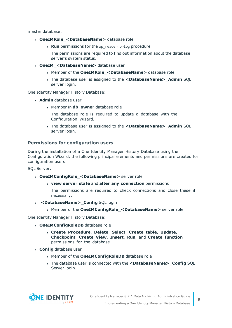master database:

- **· OneIMRole\_<DatabaseName>** database role
	- **. Run** permissions for the xp\_readerrorlog procedure
		- The permissions are required to find out information about the database server's system status.
- <sup>l</sup> **OneIM\_<DatabaseName>** database user
	- <sup>l</sup> Member of the **OneIMRole\_<DatabaseName>** database role
	- <sup>l</sup> The database user is assigned to the **<DatabaseName>\_Admin** SQL server login.

One Identity Manager History Database:

- **Admin** database user
	- **.** Member in **db** owner database role

The database role is required to update a database with the Configuration Wizard.

<sup>l</sup> The database user is assigned to the **<DatabaseName>\_Admin** SQL server login.

### **Permissions for configuration users**

During the installation of a One Identity Manager History Database using the Configuration Wizard, the following principal elements and permissions are created for configuration users:

SQL Server:

- <sup>l</sup> **OneIMConfigRole\_<DatabaseName>** server role
	- <sup>l</sup> **view server state** and **alter any connection** permissions

The permissions are required to check connections and close these if necessary.

- **.** <DatabaseName>\_Config SQL login
	- <sup>l</sup> Member of the **OneIMConfigRole\_<DatabaseName>** server role

One Identity Manager History Database:

- **· OneIMConfigRoleDB** database role
	- <sup>l</sup> **Create Procedure**, **Delete**, **Select**, **Create table**, **Update**, **Checkpoint**, **Create View**, **Insert**, **Run**, and **Create function** permissions for the database
- **. Config** database user
	- **.** Member of the **OneIMConfigRoleDB** database role
	- <sup>l</sup> The database user is connected with the **<DatabaseName>\_Config** SQL Server login.

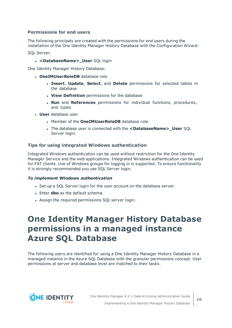### **Permissions for end users**

The following principals are created with the permissions for end users during the installation of the One Identity Manager History Database with the Configuration Wizard:

SQL Server:

<sup>l</sup> **<DatabaseName>\_User** SQL login

One Identity Manager History Database:

- **· OneIMUserRoleDB** database role
	- <sup>l</sup> **Insert**, **Update**, **Select**, and **Delete** permissions for selected tables in the database
	- **. View Definition** permissions for the database
	- <sup>l</sup> **Run** and **References** permissions for individual functions, procedures, and types
- **.** User database user
	- **.** Member of the **OneIMUserRoleDB** database role
	- <sup>l</sup> The database user is connected with the **<DatabaseName>\_User** SQL Server login.

### **Tips for using integrated Windows authentication**

Integrated Windows authentication can be used without restriction for the One Identity Manager Service and the web applications. Integrated Windows authentication can be used for FAT clients. Use of Windows groups for logging in is supported. To ensure functionality it is strongly recommended you use SQL Server login.

### *To implement Windows authentication*

- Set up a SQL Server login for the user account on the database server.
- **.** Enter **dbo** as the default schema.
- Assign the required permissions SQL server login.

### <span id="page-9-0"></span>**One Identity Manager History Database permissions in a managed instance Azure SQL Database**

The following users are identified for using a One Identity Manager History Database in a managed instance in the Azure SQL Database with the granular permissions concept. User permissions at server and database level are matched to their tasks.

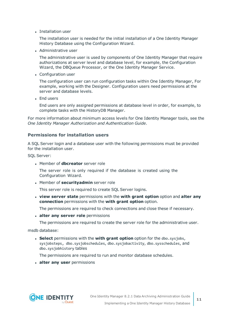• Installation user

The installation user is needed for the initial installation of a One Identity Manager History Database using the Configuration Wizard.

• Administrative user

The administrative user is used by components of One Identity Manager that require authorizations at server level and database level, for example, the Configuration Wizard, the DBQueue Processor, or the One Identity Manager Service.

• Configuration user

The configuration user can run configuration tasks within One Identity Manager, For example, working with the Designer. Configuration users need permissions at the server and database levels.

• End users

End users are only assigned permissions at database level in order, for example, to complete tasks with the HistoryDB Manager.

For more information about minimum access levels for One Identity Manager tools, see the *One Identity Manager Authorization and Authentication Guide*.

### **Permissions for installation users**

A SQL Server login and a database user with the following permissions must be provided for the installation user.

SQL Server:

**.** Member of **dbcreator** server role

The server role is only required if the database is created using the Configuration Wizard.

**.** Member of **securityadmin** server role

This server role is required to create SQL Server logins.

<sup>l</sup> **view server state** permissions with the **with grant option** option and **alter any connection** permissions with the **with grant option** option.

The permissions are required to check connections and close these if necessary.

<sup>l</sup> **alter any server role** permissions

The permissions are required to create the server role for the administrative user.

msdb database:

<sup>l</sup> **Select** permissions with the **with grant option** option for the dbo.sysjobs, sysjobsteps, dbo.sysjobschedules, dbo.sysjobactivity, dbo.sysschedules, and dbo.sysjobhistory tables

The permissions are required to run and monitor database schedules.

<sup>l</sup> **alter any user** permissions

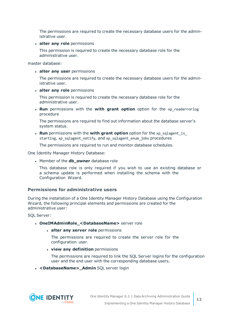The permissions are required to create the necessary database users for the administrative user.

<sup>l</sup> **alter any role** permissions

This permission is required to create the necessary database role for the administrative user.

master database:

<sup>l</sup> **alter any user** permissions

The permissions are required to create the necessary database users for the administrative user.

<sup>l</sup> **alter any role** permissions

This permission is required to create the necessary database role for the administrative user.

**. Run** permissions with the **with grant option** option for the xp readerrorlog procedure

The permissions are required to find out information about the database server's system status.

<sup>l</sup> **Run** permissions with the **with grant option** option for the xp\_sqlagent\_is\_ starting, xp\_sqlagent\_notify, and xp\_sqlagent\_enum\_jobs procedures

The permissions are required to run and monitor database schedules.

One Identity Manager History Database:

**.** Member of the **db\_owner** database role

This database role is only required if you wish to use an existing database or a schema update is performed when installing the schema with the Configuration Wizard.

### **Permissions for administrative users**

During the installation of a One Identity Manager History Database using the Configuration Wizard, the following principal elements and permissions are created for the administrative user:

SQL Server:

- **· OneIMAdminRole\_<DatabaseName>** server role
	- <sup>l</sup> **alter any server role** permissions

The permissions are required to create the server role for the configuration user.

<sup>l</sup> **view any definition** permissions

The permissions are required to link the SQL Server logins for the configuration user and the end user with the corresponding database users.

**· <DatabaseName>\_Admin** SQL server login

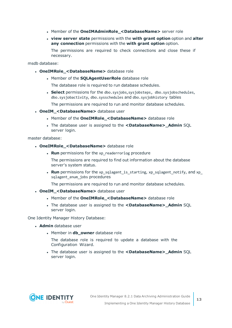- <sup>l</sup> Member of the **OneIMAdminRole\_<DatabaseName>** server role
- <sup>l</sup> **view server state** permissions with the **with grant option** option and **alter any connection** permissions with the **with grant option** option.

The permissions are required to check connections and close these if necessary.

msdb database:

- **· OneIMRole\_<DatabaseName>** database role
	- <sup>l</sup> Member of the **SQLAgentUserRole** database role

The database role is required to run database schedules.

**Select** permissions for the dbo.sysjobs, sysjobsteps, dbo.sysjobschedules, dbo.sysjobactivity, dbo.sysschedules and dbo.sysjobhistory tables

The permissions are required to run and monitor database schedules.

- **. OneIM <DatabaseName>** database user
	- <sup>l</sup> Member of the **OneIMRole\_<DatabaseName>** database role
	- <sup>l</sup> The database user is assigned to the **<DatabaseName>\_Admin** SQL server login.

master database:

- **· OneIMRole\_<DatabaseName>** database role
	- **. Run** permissions for the xp readerrorlog procedure

The permissions are required to find out information about the database server's system status.

• **Run** permissions for the xp\_sqlagent\_is\_starting, xp\_sqlagent\_notify, and xp\_ sqlagent enum jobs procedures

The permissions are required to run and monitor database schedules.

- **. OneIM <DatabaseName>** database user
	- <sup>l</sup> Member of the **OneIMRole\_<DatabaseName>** database role
	- <sup>l</sup> The database user is assigned to the **<DatabaseName>\_Admin** SQL server login.

One Identity Manager History Database:

- **Admin** database user
	- Member in **db** owner database role

The database role is required to update a database with the Configuration Wizard.

<sup>l</sup> The database user is assigned to the **<DatabaseName>\_Admin** SQL server login.

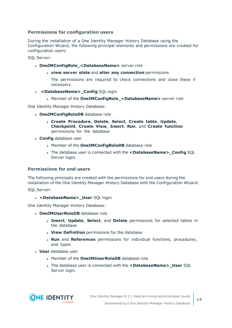### **Permissions for configuration users**

During the installation of a One Identity Manager History Database using the Configuration Wizard, the following principal elements and permissions are created for configuration users:

SQL Server:

- <sup>l</sup> **OneIMConfigRole\_<DatabaseName>** server role
	- <sup>l</sup> **view server state** and **alter any connection** permissions

The permissions are required to check connections and close these if necessary.

- **. < DatabaseName> Config SQL login** 
	- <sup>l</sup> Member of the **OneIMConfigRole\_<DatabaseName>** server role

One Identity Manager History Database:

- **· OneIMConfigRoleDB** database role
	- <sup>l</sup> **Create Procedure**, **Delete**, **Select**, **Create table**, **Update**, **Checkpoint**, **Create View**, **Insert**, **Run**, and **Create function** permissions for the database
- **. Config** database user
	- **.** Member of the **OneIMConfigRoleDB** database role
	- <sup>l</sup> The database user is connected with the **<DatabaseName>\_Config** SQL Server login.

#### **Permissions for end users**

The following principals are created with the permissions for end users during the installation of the One Identity Manager History Database with the Configuration Wizard:

SQL Server:

<sup>l</sup> **<DatabaseName>\_User** SQL login

One Identity Manager History Database:

- **OneIMUserRoleDB** database role
	- <sup>l</sup> **Insert**, **Update**, **Select**, and **Delete** permissions for selected tables in the database
	- **. View Definition** permissions for the database
	- <sup>l</sup> **Run** and **References** permissions for individual functions, procedures, and types
- **.** User database user
	- **.** Member of the **OneIMUserRoleDB** database role
	- <sup>l</sup> The database user is connected with the **<DatabaseName>\_User** SQL Server login.

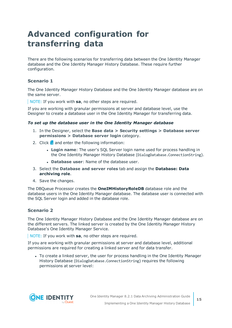### <span id="page-14-0"></span>**Advanced configuration for transferring data**

There are the following scenarios for transferring data between the One Identity Manager database and the One Identity Manager History Database. These require further configuration.

### **Scenario 1**

The One Identity Manager History Database and the One Identity Manager database are on the same server.

NOTE: If you work with **sa**, no other steps are required.

If you are working with granular permissions at server and database level, use the Designer to create a database user in the One Identity Manager for transferring data.

#### *To set up the database user in the One Identity Manager database*

- 1. In the Designer, select the **Base data > Security settings > Database server permissions > Database server login** category.
- 2. Click  $\frac{1}{2}$  and enter the following information:
	- **Login name**: The user's SQL Server login name used for process handling in the One Identity Manager History Database (DialogDatabase.ConnectionString).
	- **. Database user:** Name of the database user.
- 3. Select the **Database and server roles** tab and assign the **Database: Data archiving role**.
- 4. Save the changes.

The DBQueue Processor creates the **OneIMHistoryRoleDB** database role and the database users in the One Identity Manager database. The database user is connected with the SQL Server login and added in the database role.

### **Scenario 2**

The One Identity Manager History Database and the One Identity Manager database are on the different servers. The linked server is created by the One Identity Manager History Database's One Identity Manager Service.

NOTE: If you work with **sa**, no other steps are required.

If you are working with granular permissions at server and database level, additional permissions are required for creating a linked server and for data transfer.

• To create a linked server, the user for process handling in the One Identity Manager History Database (DialogDatabase.ConnectionString) requires the following permissions at server level:

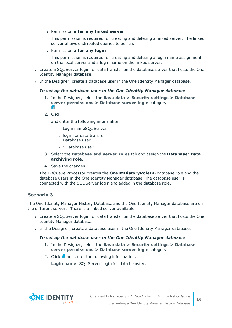#### <sup>l</sup> Permission **alter any linked server**

This permission is required for creating and deleting a linked server. The linked server allows distributed queries to be run.

<sup>l</sup> Permission **alter any login**

This permission is required for creating and deleting a login name assignment on the local server and a login name on the linked server.

- Create a SQL Server login for data transfer on the database server that hosts the One Identity Manager database.
- In the Designer, create a database user in the One Identity Manager database.

#### *To set up the database user in the One Identity Manager database*

- 1. In the Designer, select the **Base data > Security settings > Database server permissions > Database server login** category. Ê.
- 2. Click

and enter the following information:

Login nameSQL Server:

- login for data transfer. Database user
- : Database user.
- 3. Select the **Database and server roles** tab and assign the **Database: Data archiving role**.
- 4. Save the changes.

The DBQueue Processor creates the **OneIMHistoryRoleDB** database role and the database users in the One Identity Manager database. The database user is connected with the SQL Server login and added in the database role.

### **Scenario 3**

The One Identity Manager History Database and the One Identity Manager database are on the different servers. There is a linked server available.

- Create a SQL Server login for data transfer on the database server that hosts the One Identity Manager database.
- In the Designer, create a database user in the One Identity Manager database.

### *To set up the database user in the One Identity Manager database*

- 1. In the Designer, select the **Base data > Security settings > Database server permissions > Database server login** category.
- 2. Click  $\frac{1}{2}$  and enter the following information:

**Login name**: SQL Server login for data transfer.

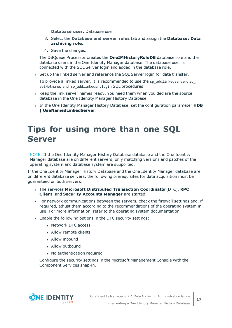**Database user**: Database user.

- 3. Select the **Database and server roles** tab and assign the **Database: Data archiving role**.
- 4. Save the changes.

The DBQueue Processor creates the **OneIMHistoryRoleDB** database role and the database users in the One Identity Manager database. The database user is connected with the SQL Server login and added in the database role.

• Set up the linked server and reference the SQL Server login for data transfer.

To provide a linked server, it is recommended to use the sp\_addlinkedserver, sp\_ setNetname, and sp\_addlinkedsrvlogin SQL procedures.

- Keep the link server names ready. You need them when you declare the source database in the One Identity Manager History Database.
- In the One Identity Manager History Database, set the configuration parameter HDB **| UseNamedLinkedServer**.

### <span id="page-16-0"></span>**Tips for using more than one SQL Server**

NOTE: If the One Identity Manager History Database database and the One Identity Manager database are on different servers, only matching versions and patches of the operating system and database system are supported.

If the One Identity Manager History Database and the One Identity Manager database are on different database servers, the following prerequisites for data acquisition must be guaranteed on both servers:

- <sup>l</sup> The services **Microsoft Distributed Transaction Coordinator**(DTC), **RPC Client**, and **Security Accounts Manager** are started.
- For network communications between the servers, check the firewall settings and, if required, adjust them according to the recommendations of the operating system in use. For more information, refer to the operating system documentation.
- Enable the following options in the DTC security settings:
	- <sup>l</sup> Network DTC access
	- Allow remote clients
	- Allow inbound
	- Allow outbound
	- No authentication required

Configure the security settings in the Microsoft Management Console with the Component Services snap-in.

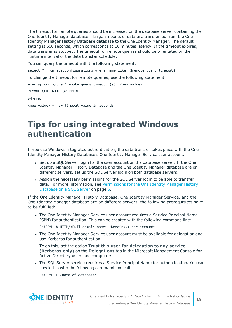The timeout for remote queries should be increased on the database server containing the One Identity Manager database if large amounts of data are transferred from the One Identity Manager History Database database to the One Identity Manager. The default setting is 600 seconds, which corresponds to 10 minutes latency. If the timeout expires, data transfer is stopped. The timeout for remote queries should be orientated on the runtime interval of the data transfer schedule.

You can query the timeout with the following statement:

select \* from sys.configurations where name like '%remote query timeout%'

To change the timeout for remote queries, use the following statement:

exec sp\_configure 'remote query timeout (s)', <new value>

RECONFIGURE WITH OVERRIDE

where:

<span id="page-17-0"></span><new value> = new timeout value in seconds

### **Tips for using integrated Windows authentication**

If you use Windows integrated authentication, the data transfer takes place with the One Identity Manager History Database's One Identity Manager Service user account.

- Set up a SQL Server login for the user account on the database server. If the One Identity Manager History Database and the One Identity Manager database are on different servers, set up the SQL Server login on both database servers.
- <sup>l</sup> Assign the necessary permissions for the SQL Server login to be able to transfer data. For more [information,](#page-5-0) see Permissions for the One Identity Manager History [Database](#page-5-0) on a SQL Server on page 6.

If the One Identity Manager History Database, One Identity Manager Service, and the One Identity Manager database are on different servers, the following prerequisites have to be fulfilled:

• The One Identity Manager Service user account requires a Service Principal Name (SPN) for authentication. This can be created with the following command line:

SetSPN -A HTTP/<Full domain name> <Domain>\<user account>

• The One Identity Manager Service user account must be available for delegation and use Kerberos for authentication.

To do this, set the option **Trust this user for delegation to any service (Kerberos only)** on the **Delegations** tab in the Microsoft Management Console for Active Directory users and computers.

• The SQL Server service requires a Service Principal Name for authentication. You can check this with the following command line call:

SetSPN -L <name of database>

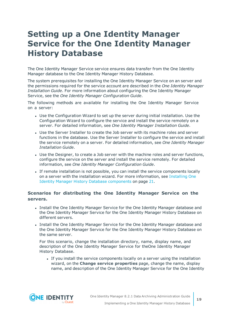### <span id="page-18-0"></span>**Setting up a One Identity Manager Service for the One Identity Manager History Database**

The One Identity Manager Service service ensures data transfer from the One Identity Manager database to the One Identity Manager History Database.

The system prerequisites for installing the One Identity Manager Service on an server and the permissions required for the service account are described in the *One Identity Manager Installation Guide*. For more information about configuring the One Identity Manager Service, see the *One Identity Manager Configuration Guide*.

The following methods are available for installing the One Identity Manager Service on a server:

- Use the Configuration Wizard to set up the server during initial installation. Use the Configuration Wizard to configure the service and install the service remotely on a server. For detailed information, see *One Identity Manager Installation Guide*.
- Use the Server Installer to create the Job server with its machine roles and server functions in the database. Use the Server Installer to configure the service and install the service remotely on a server. For detailed information, see *One Identity Manager Installation Guide*.
- Use the Designer, to create a Job server with the machine roles and server functions, configure the service on the server and install the service remotely. For detailed information, see *One Identity Manager Configuration Guide*.
- If remote installation is not possible, you can install the service components locally on a server with the installation wizard. For more [information,](#page-20-0) see Installing One Identity Manager History Database [components](#page-20-0) on page 21.

### **Scenarios for distributing the One Identity Manager Service on the servers.**

- Install the One Identity Manager Service for the One Identity Manager database and the One Identity Manager Service for the One Identity Manager History Database on different servers.
- Install the One Identity Manager Service for the One Identity Manager database and the One Identity Manager Service for the One Identity Manager History Database on the same server.

For this scenario, change the installation directory, name, display name, and description of the One Identity Manager Service for theOne Identity Manager History Database.

• If you install the service components locally on a server using the installation wizard, on the **Change service properties** page, change the name, display name, and description of the One Identity Manager Service for the One Identity

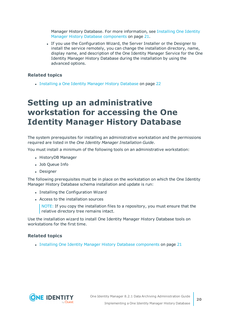Manager History Database. For more [information,](#page-20-0) see Installing One Identity Manager History Database [components](#page-20-0) on page 21.

If you use the Configuration Wizard, the Server Installer or the Designer to install the service remotely, you can change the installation directory, name, display name, and description of the One Identity Manager Service for the One Identity Manager History Database during the installation by using the advanced options.

### **Related topics**

<span id="page-19-0"></span>• [Installing](#page-21-0) a One Identity Manager History Database on page 22

### **Setting up an administrative workstation for accessing the One Identity Manager History Database**

The system prerequisites for installing an administrative workstation and the permissions required are listed in the *One Identity Manager Installation Guide*.

You must install a minimum of the following tools on an administrative workstation:

- HistoryDB Manager
- Job Queue Info
- Designer

The following prerequisites must be in place on the workstation on which the One Identity Manager History Database schema installation and update is run:

- Installing the Configuration Wizard
- Access to the installation sources

NOTE: If you copy the installation files to a repository, you must ensure that the relative directory tree remains intact.

Use the installation wizard to install One Identity Manager History Database tools on workstations for the first time.

### **Related topics**

• Installing One Identity Manager History Database [components](#page-20-0) on page 21

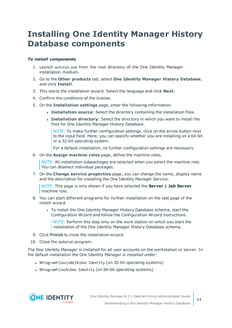## <span id="page-20-0"></span>**Installing One Identity Manager History Database components**

### *To install components*

- 1. Launch autorun.exe from the root directory of the One Identity Manager installation medium.
- 2. Go to the **Other products** tab, select **One Identity Manager History Database**, and click **Install**.
- 3. This starts the installation wizard. Select the language and click **Next**.
- 4. Confirm the conditions of the license.
- 5. On the **Installation settings** page, enter the following information.
	- <sup>l</sup> **Installation source**: Select the directory containing the installation files.
	- <sup>l</sup> **Installation directory**: Select the directory in which you want to install the files for One Identity Manager History Database.

NOTE: To make further configuration settings, click on the arrow button next to the input field. Here, you can specify whether you are installing on a 64-bit or a 32-bit operating system.

For a default installation, no further configuration settings are necessary.

6. On the **Assign machine roles** page, define the machine roles.

NOTE: All installation subpackages are selected when you select the machine role. You can deselect individual packages.

7. On the **Change service properties** page, you can change the name, display name and the description for installing the One Identity Manager Service.

NOTE: This page is only shown if you have selected the **Server | Job Server** machine role.

- 8. You can start different programs for further installation on the last page of the install wizard.
	- To install the One Identity Manager History Database schema, start the Configuration Wizard and follow the Configuration Wizard instructions.

NOTE: Perform this step only on the work station on which you start the installation of the One Identity Manager History Database schema.

- 9. Click **Finish** to close the installation wizard.
- 10. Close the autorun program.

The One Identity Manager is installed for all user accounts on the workstation or server. In the default installation the One Identity Manager is installed under:

- %ProgramFiles(x86)%\One Identity (on 32-bit operating systems)
- %ProgramFiles%\One Identity (on 64-bit operating systems)

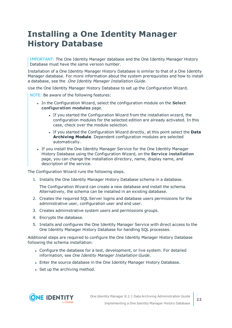## <span id="page-21-0"></span>**Installing a One Identity Manager History Database**

IMPORTANT: The One Identity Manager database and the One Identity Manager History Database must have the same version number.

Installation of a One Identity Manager History Database is similar to that of a One Identity Manager database. For more information about the system prerequisites and how to install a database, see the .*One Identity Manager Installation Guide*.

Use the One Identity Manager History Database to set up the Configuration Wizard.

NOTE: Be aware of the following features:

- **In the Configuration Wizard, select the configuration module on the Select configuration modules** page.
	- If you started the Configuration Wizard from the installation wizard, the configuration modules for the selected edition are already activated. In this case, check over the module selection.
	- <sup>l</sup> If you started the Configuration Wizard directly, at this point select the **Data Archiving Module**. Dependent configuration modules are selected automatically.
- If you install the One Identity Manager Service for the One Identity Manager History Database using the Configuration Wizard, on the **Service installation** page, you can change the installation directory, name, display name, and description of the service.

The Configuration Wizard runs the following steps.

1. Installs the One Identity Manager History Database schema in a database.

The Configuration Wizard can create a new database and install the schema. Alternatively, the schema can be installed in an existing database.

- 2. Creates the required SQL Server logins and database users permissions for the administrative user, configuration user and end user.
- 3. Creates administrative system users and permissions groups.
- 4. Encrypts the database.
- 5. Installs and configures the One Identity Manager Service with direct access to the One Identity Manager History Database for handling SQL processes.

Additional steps are required to configure the One Identity Manager History Database following the schema installation:

- Configure the database for a test, development, or live system. For detailed information, see *One Identity Manager Installation Guide*.
- Enter the source database in the One Identity Manager History Database.
- Set up the archiving method.

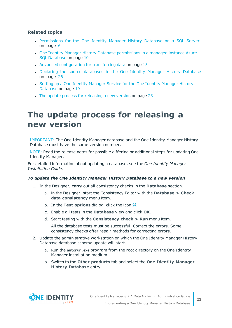### **Related topics**

- [Permissions](#page-5-0) for the One Identity Manager History Database on a SQL Server on [page](#page-5-0) 6
- One Identity Manager History Database [permissions](#page-9-0) in a managed instance Azure SQL [Database](#page-9-0) on page 10
- Advanced [configuration](#page-14-0) for transferring data on page 15
- Declaring the source [databases](#page-25-0) in the One Identity Manager History Database on [page](#page-25-0) 26
- Setting up a One Identity [Manager](#page-18-0) Service for the One Identity Manager History [Database](#page-18-0) on page 19
- $\bullet$  The update process for [releasing](#page-22-0) a new version on page 23

### <span id="page-22-0"></span>**The update process for releasing a new version**

IMPORTANT: The One Identity Manager database and the One Identity Manager History Database must have the same version number.

NOTE: Read the release notes for possible differing or additional steps for updating One Identity Manager.

For detailed information about updating a database, see the *One Identity Manager Installation Guide*.

### *To update the One Identity Manager History Database to a new version*

- 1. In the Designer, carry out all consistency checks in the **Database** section.
	- a. in the Designer, start the Consistency Editor with the **Database > Check data consistency** menu item.
	- b. In the **Test options** dialog, click the icon  $\frac{A}{2}$ .
	- c. Enable all tests in the **Database** view and click **OK**.
	- d. Start testing with the **Consistency check > Run** menu item.

All the database tests must be successful. Correct the errors. Some consistency checks offer repair methods for correcting errors.

- 2. Update the administrative workstation on which the One Identity Manager History Database database schema update will start.
	- a. Run the autorun.exe program from the root directory on the One Identity Manager installation medium.
	- b. Switch to the **Other products** tab and select the **One Identity Manager History Database** entry.

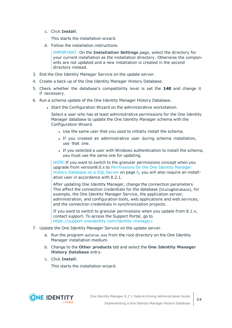c. Click **Install**.

This starts the installation wizard.

d. Follow the installation instructions.

IMPORTANT: On the **Installation Settings** page, select the directory for your current installation as the installation directory. Otherwise the components are not updated and a new installation is created in the second directory instead.

- 3. End the One Identity Manager Service on the update server.
- 4. Create a back up of the One Identity Manager History Database.
- 5. Check whether the database's compatibility level is set the **140** and change it if necessary.
- 6. Run a schema update of the One Identity Manager History Database.
	- Start the Configuration Wizard on the administrative workstation.

Select a user who has at least administrative permissions for the One Identity Manager database to update the One Identity Manager schema with the Configuration Wizard.

- Use the same user that you used to initially install the schema.
- If you created an administrative user during schema installation, use that one.
- If you selected a user with Windows authentication to install the schema, you must use the same one for updating.

NOTE:If you want to switch to the granular permissions concept when you upgrade from version8.0.x to [Permissions](#page-5-0) for the One Identity Manager History [Database](#page-5-0) on a SQL Server on page 6, you will also require an installation user in accordance with 8.2.1.

After updating One Identity Manager, change the connection parameters. This affect the connection credentials for the database (DialogDatabase), for example, the One Identity Manager Service, the application server, administration, and configuration tools, web applications and web services, and the connection credentials in synchronization projects.

If you want to switch to granular permissions when you update from 8.1.x, contact support. To access the Support Portal, go to [https://support.oneidentity.com/identity-manager/.](https://support.oneidentity.com/identity-manager/)

- 7. Update the One Identity Manager Service on the update server.
	- a. Run the program autorun.exe from the root directory on the One Identity Manager installation medium.
	- b. Change to the **Other products** tab and select the **One Identity Manager History Database** entry.
	- c. Click **Install**.

This starts the installation wizard.

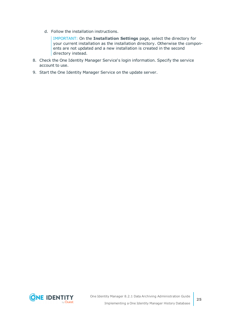d. Follow the installation instructions.

IMPORTANT: On the **Installation Settings** page, select the directory for your current installation as the installation directory. Otherwise the components are not updated and a new installation is created in the second directory instead.

- 8. Check the One Identity Manager Service's login information. Specify the service account to use.
- 9. Start the One Identity Manager Service on the update server.

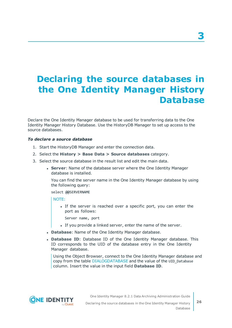## <span id="page-25-0"></span>**Declaring the source databases in the One Identity Manager History Database**

Declare the One Identity Manager database to be used for transferring data to the One Identity Manager History Database. Use the HistoryDB Manager to set up access to the source databases.

#### *To declare a source database*

- 1. Start the HistoryDB Manager and enter the connection data.
- 2. Select the **History > Base Data > Source databases** category.
- 3. Select the source database in the result list and edit the main data.
	- **. Server:** Name of the database server where the One Identity Manager database is installed.

You can find the server name in the One Identity Manager database by using the following query:

select @@SERVERNAME

NOTE:

- If the server is reached over a specific port, you can enter the port as follows:
	- Server name, port
- If you provide a linked server, enter the name of the server.
- **. Database**: Name of the One Identity Manager database.
- <sup>l</sup> **Database ID**: Database ID of the One Identity Manager database. This ID corresponds to the UID of the database entry in the One Identity Manager database.

Using the Object Browser, connect to the One Identity Manager database and copy from the table DIALOGDATABASE and the value of the UID\_Database column. Insert the value in the input field **Database ID**.



**3**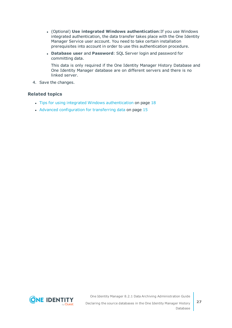- <sup>l</sup> (Optional) **Use integrated Windows authentication**:If you use Windows integrated authentication, the data transfer takes place with the One Identity Manager Service user account. You need to take certain installation prerequisites into account in order to use this authentication procedure.
- <sup>l</sup> **Database user** and **Password**: SQL Server login and password for committing data.

This data is only required if the One Identity Manager History Database and One Identity Manager database are on different servers and there is no linked server.

4. Save the changes.

### **Related topics**

- Tips for using integrated Windows [authentication](#page-17-0) on page 18
- Advanced [configuration](#page-14-0) for transferring data on page 15

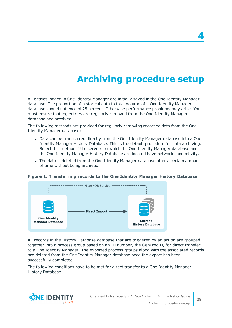## **Archiving procedure setup**

<span id="page-27-0"></span>All entries logged in One Identity Manager are initially saved in the One Identity Manager database. The proportion of historical data to total volume of a One Identity Manager database should not exceed 25 percent. Otherwise performance problems may arise. You must ensure that log entries are regularly removed from the One Identity Manager database and archived.

The following methods are provided for regularly removing recorded data from the One Identity Manager database:

- Data can be transferred directly from the One Identity Manager database into a One Identity Manager History Database. This is the default procedure for data archiving. Select this method if the servers on which the One Identity Manager database and the One Identity Manager History Database are located have network connectivity.
- The data is deleted from the One Identity Manager database after a certain amount of time without being archived.

#### **Figure 1: Transferring records to the One Identity Manager History Database**



All records in the History Database database that are triggered by an action are grouped together into a process group based on an ID number, the GenProcID, for direct transfer to a One Identity Manager. The exported process groups along with the associated records are deleted from the One Identity Manager database once the export has been successfully completed.

The following conditions have to be met for direct transfer to a One Identity Manager History Database:

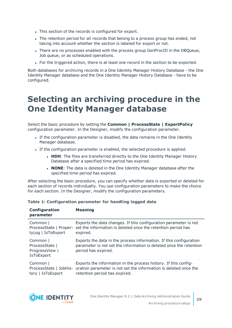- This section of the records is configured for export.
- The retention period for all records that belong to a process group has ended, not taking into account whether the section is labeled for export or not.
- <sup>l</sup> There are no processes enabled with the process group GenProcID in the DBQueue, Job queue, or as scheduled operations.
- For the triggered action, there is at least one record in the section to be exported.

Both databases for archiving records in a One Identity Manager History Database - the One Identity Manager database and the One Identity Manager History Database - have to be configured.

### <span id="page-28-0"></span>**Selecting an archiving procedure in the One Identity Manager database**

Select the basic procedure by setting the **Common | ProcessState | ExportPolicy** configuration parameter. In the Designer, modify the configuration parameter.

- If the configuration parameter is disabled, the data remains in the One Identity Manager database.
- If the configuration parameter is enabled, the selected procedure is applied.
	- **HDH**: The files are transferred directly to the One Identity Manager History Database after a specified time period has expired.
	- **NONE:** The data is deleted in the One Identity Manager database after the specified time period has expired.

After selecting the basic procedure, you can specify whether data is exported or deleted for each section of records individually. You use configuration parameters to make the choice for each section. In the Designer, modify the configuration parameters.

| Configuration<br>parameter                                        | <b>Meaning</b>                                                                                                                                                       |
|-------------------------------------------------------------------|----------------------------------------------------------------------------------------------------------------------------------------------------------------------|
| Common  <br>tyLog   IsToExport                                    | Exports the data changes. If this configuration parameter is not<br>ProcessState   Proper- set the information is deleted once the retention period has<br>expired.  |
| Common  <br>ProcessState  <br>ProgressView  <br><b>IsToExport</b> | Exports the data in the process information. If this configuration<br>parameter is not set the information is deleted once the retention<br>period has expired.      |
| Common  <br>ProcessState   JobHis-<br>tory   IsToExport           | Exports the information in the process history. If this config-<br>uration parameter is not set the information is deleted once the<br>retention period has expired. |

### **Table 1: Configuration parameter for handling logged data**

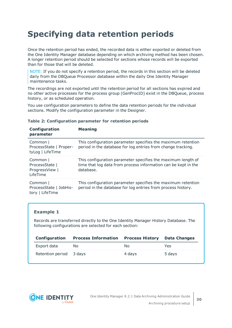## <span id="page-29-0"></span>**Specifying data retention periods**

Once the retention period has ended, the recorded data is either exported or deleted from the One Identity Manager database depending on which archiving method has been chosen. A longer retention period should be selected for sections whose records will be exported than for those that will be deleted.

NOTE: If you do not specify a retention period, the records in this section will be deleted daily from the DBQueue Processor database within the daily One Identity Manager maintenance tasks.

The recordings are not exported until the retention period for all sections has expired and no other active processes for the process group (GenProcID) exist in the DBQueue, process history, or as scheduled operation.

You use configuration parameters to define the data retention periods for the individual sections. Modify the configuration parameter in the Designer.

| Configuration<br>parameter                               | <b>Meaning</b>                                                                                                                              |
|----------------------------------------------------------|---------------------------------------------------------------------------------------------------------------------------------------------|
| Common  <br>ProcessState   Proper-<br>tyLog   LifeTime   | This configuration parameter specifies the maximum retention<br>period in the database for log entries from change tracking.                |
| Common  <br>ProcessState  <br>ProgressView  <br>LifeTime | This configuration parameter specifies the maximum length of<br>time that log data from process information can be kept in the<br>database. |
| Common  <br>ProcessState   JobHis-<br>tory   LifeTime    | This configuration parameter specifies the maximum retention<br>period in the database for log entries from process history.                |

### **Table 2: Configuration parameter for retention periods**

### **Example 1**

Records are transferred directly to the One Identity Manager History Database. The following configurations are selected for each section:

| Configuration           | <b>Process Information</b> | <b>Process History</b> | Data Changes |
|-------------------------|----------------------------|------------------------|--------------|
| Export data             | No.                        | No.                    | Yes          |
| Retention period 3 days |                            | 4 days                 | 5 days       |

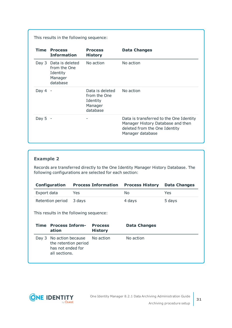This results in the following sequence:

|           | <b>Time Process</b><br><b>Information</b>                          | <b>Process</b><br><b>History</b>                                   | <b>Data Changes</b>                                                                                                               |
|-----------|--------------------------------------------------------------------|--------------------------------------------------------------------|-----------------------------------------------------------------------------------------------------------------------------------|
| Day 3     | Data is deleted<br>from the One<br>Identity<br>Manager<br>database | No action                                                          | No action                                                                                                                         |
| Day 4     |                                                                    | Data is deleted<br>from the One<br>Identity<br>Manager<br>database | No action                                                                                                                         |
| Day $5 -$ |                                                                    | -                                                                  | Data is transferred to the One Identity<br>Manager History Database and then<br>deleted from the One Identity<br>Manager database |

### **Example 2**

Records are transferred directly to the One Identity Manager History Database. The following configurations are selected for each section:

| <b>Configuration</b>    | <b>Process Information</b> | <b>Process History Data Changes</b> |        |
|-------------------------|----------------------------|-------------------------------------|--------|
| Export data             | Yes.                       | No                                  | Yes    |
| Retention period 3 days |                            | 4 davs                              | 5 days |

This results in the following sequence:

| Time | <b>Process Inform-</b><br>ation                                                                 | <b>Process</b><br><b>History</b> | <b>Data Changes</b> |
|------|-------------------------------------------------------------------------------------------------|----------------------------------|---------------------|
|      | Day 3 No action because No action<br>the retention period<br>has not ended for<br>all sections. |                                  | No action           |

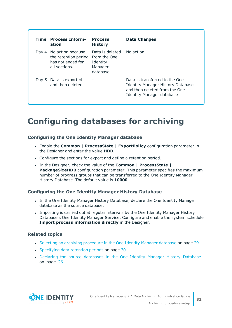| Time  | <b>Process Inform-</b><br>ation                                                 | <b>Process</b><br><b>History</b>                                   | <b>Data Changes</b>                                                                                                                      |
|-------|---------------------------------------------------------------------------------|--------------------------------------------------------------------|------------------------------------------------------------------------------------------------------------------------------------------|
| Day 4 | No action because<br>the retention period<br>has not ended for<br>all sections. | Data is deleted<br>from the One<br>Identity<br>Manager<br>database | No action                                                                                                                                |
|       | Day 5 Data is exported<br>and then deleted                                      |                                                                    | Data is transferred to the One<br><b>Identity Manager History Database</b><br>and then deleted from the One<br>Identity Manager database |

### <span id="page-31-0"></span>**Configuring databases for archiving**

### **Configuring the One Identity Manager database**

- <sup>l</sup> Enable the **Common | ProcessState | ExportPolicy** configuration parameter in the Designer and enter the value **HDB**.
- Configure the sections for export and define a retention period.
- <sup>l</sup> In the Designer, check the value of the **Common | ProcessState | PackageSizeHDB** configuration parameter. This parameter specifies the maximum number of progress groups that can be transferred to the One Identity Manager History Database. The default value is **10000**.

### **Configuring the One Identity Manager History Database**

- In the One Identity Manager History Database, declare the One Identity Manager database as the source database.
- Importing is carried out at regular intervals by the One Identity Manager History Database's One Identity Manager Service. Configure and enable the system schedule **Import process information directly** in the Designer.

### **Related topics**

- Selecting an archiving [procedure](#page-28-0) in the One Identity Manager database on page 29
- [Specifying](#page-29-0) data retention periods on page 30
- Declaring the source [databases](#page-25-0) in the One Identity Manager History Database on [page](#page-25-0) 26

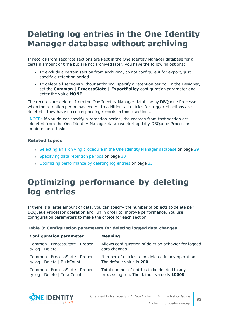## <span id="page-32-0"></span>**Deleting log entries in the One Identity Manager database without archiving**

If records from separate sections are kept in the One Identity Manager database for a certain amount of time but are not archived later, you have the following options:

- To exclude a certain section from archiving, do not configure it for export, just specify a retention period.
- To delete all sections without archiving, specify a retention period. In the Designer, set the **Common | ProcessState | ExportPolicy** configuration parameter and enter the value **NONE**.

The records are deleted from the One Identity Manager database by DBQueue Processor when the retention period has ended. In addition, all entries for triggered actions are deleted if they have no corresponding records in those sections.

NOTE: If you do not specify a retention period, the records from that section are deleted from the One Identity Manager database during daily DBQueue Processor maintenance tasks.

### **Related topics**

- Selecting an archiving [procedure](#page-28-0) in the One Identity Manager database on page 29
- [Specifying](#page-29-0) data retention periods on page 30
- Optimizing [performance](#page-32-1) by deleting log entries on page 33

## <span id="page-32-1"></span>**Optimizing performance by deleting log entries**

If there is a large amount of data, you can specify the number of objects to delete per DBQueue Processor operation and run in order to improve performance. You use configuration parameters to make the choice for each section.

| <b>Configuration parameter</b>  | <b>Meaning</b>                                       |
|---------------------------------|------------------------------------------------------|
| Common   ProcessState   Proper- | Allows configuration of deletion behavior for logged |
| tyLog   Delete                  | data changes.                                        |
| Common   ProcessState   Proper- | Number of entries to be deleted in any operation.    |
| tyLog   Delete   BulkCount      | The default value is 200.                            |
| Common   ProcessState   Proper- | Total number of entries to be deleted in any         |
| tyLog   Delete   TotalCount     | processing run. The default value is 10000.          |

### **Table 3: Configuration parameters for deleting logged data changes**

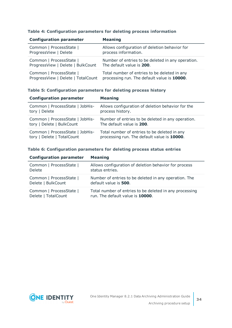|  |  | Table 4: Configuration parameters for deleting process information |  |  |  |
|--|--|--------------------------------------------------------------------|--|--|--|
|--|--|--------------------------------------------------------------------|--|--|--|

| <b>Configuration parameter</b>     | <b>Meaning</b>                                    |
|------------------------------------|---------------------------------------------------|
| Common   ProcessState              | Allows configuration of deletion behavior for     |
| ProgressView   Delete              | process information.                              |
| Common   ProcessState              | Number of entries to be deleted in any operation. |
| ProgressView   Delete   BulkCount  | The default value is 200.                         |
| Common   ProcessState              | Total number of entries to be deleted in any      |
| ProgressView   Delete   TotalCount | processing run. The default value is 10000.       |

### **Table 5: Configuration parameters for deleting process history**

| <b>Configuration parameter</b>  | <b>Meaning</b>                                    |
|---------------------------------|---------------------------------------------------|
| Common   ProcessState   JobHis- | Allows configuration of deletion behavior for the |
| tory   Delete                   | process history.                                  |
| Common   ProcessState   JobHis- | Number of entries to be deleted in any operation. |
| tory   Delete   BulkCount       | The default value is 200.                         |
| Common   ProcessState   JobHis- | Total number of entries to be deleted in any      |
| tory   Delete   TotalCount      | processing run. The default value is 10000.       |

#### **Table 6: Configuration parameters for deleting process status entries**

| <b>Configuration parameter</b> | <b>Meaning</b>                                          |
|--------------------------------|---------------------------------------------------------|
| Common   ProcessState          | Allows configuration of deletion behavior for process   |
| Delete                         | status entries.                                         |
| Common   ProcessState          | Number of entries to be deleted in any operation. The   |
| Delete   BulkCount             | default value is 500.                                   |
| Common   ProcessState          | Total number of entries to be deleted in any processing |
| Delete   TotalCount            | run. The default value is 10000.                        |

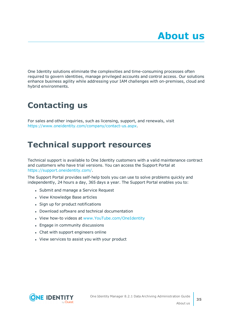<span id="page-34-0"></span>One Identity solutions eliminate the complexities and time-consuming processes often required to govern identities, manage privileged accounts and control access. Our solutions enhance business agility while addressing your IAM challenges with on-premises, cloud and hybrid environments.

## <span id="page-34-1"></span>**Contacting us**

For sales and other inquiries, such as licensing, support, and renewals, visit <https://www.oneidentity.com/company/contact-us.aspx>.

### <span id="page-34-2"></span>**Technical support resources**

Technical support is available to One Identity customers with a valid maintenance contract and customers who have trial versions. You can access the Support Portal at [https://support.oneidentity.com/.](https://support.oneidentity.com/)

The Support Portal provides self-help tools you can use to solve problems quickly and independently, 24 hours a day, 365 days a year. The Support Portal enables you to:

- Submit and manage a Service Request
- View Knowledge Base articles
- Sign up for product notifications
- Download software and technical documentation
- View how-to videos at [www.YouTube.com/OneIdentity](http://www.youtube.com/OneIdentity)
- Engage in community discussions
- Chat with support engineers online
- View services to assist you with your product